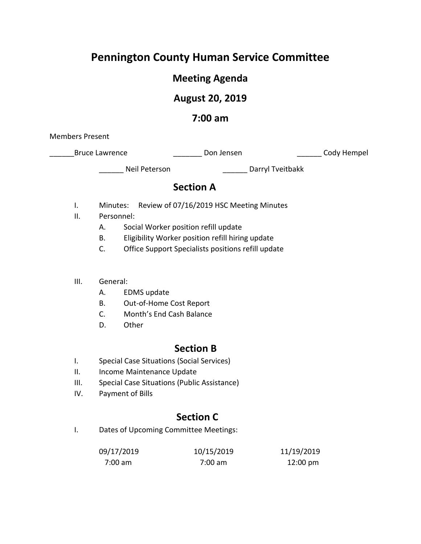# **Pennington County Human Service Committee**

## **Meeting Agenda**

## **August 20, 2019**

## **7:00 am**

Members Present

| <b>Bruce Lawrence</b> | Don Jensen | Cody Hempel |
|-----------------------|------------|-------------|
|-----------------------|------------|-------------|

Neil Peterson and Darryl Tveitbakk

## **Section A**

- I. Minutes: Review of 07/16/2019 HSC Meeting Minutes
- II. Personnel:
	- A. Social Worker position refill update
	- B. Eligibility Worker position refill hiring update
	- C. Office Support Specialists positions refill update
- III. General:
	- A. EDMS update
	- B. Out-of-Home Cost Report
	- C. Month's End Cash Balance
	- D. Other

### **Section B**

- I. Special Case Situations (Social Services)
- II. Income Maintenance Update
- III. Special Case Situations (Public Assistance)
- IV. Payment of Bills

## **Section C**

I. Dates of Upcoming Committee Meetings:

| 09/17/2019 | 10/15/2019 | 11/19/2019         |
|------------|------------|--------------------|
| 7:00 am    | 7:00 am    | $12:00 \text{ pm}$ |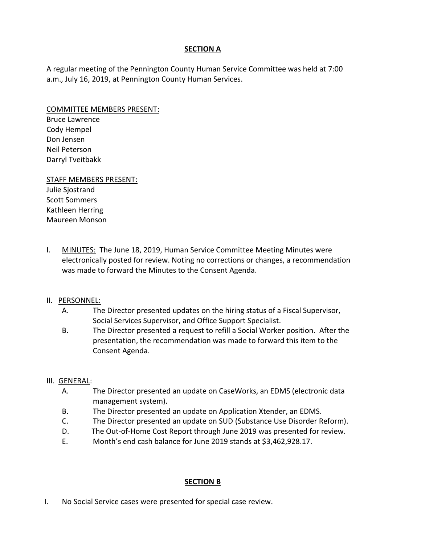### **SECTION A**

A regular meeting of the Pennington County Human Service Committee was held at 7:00 a.m., July 16, 2019, at Pennington County Human Services.

#### COMMITTEE MEMBERS PRESENT:

Bruce Lawrence Cody Hempel Don Jensen Neil Peterson Darryl Tveitbakk

#### STAFF MEMBERS PRESENT: Julie Sjostrand Scott Sommers

Kathleen Herring Maureen Monson

I. MINUTES: The June 18, 2019, Human Service Committee Meeting Minutes were electronically posted for review. Noting no corrections or changes, a recommendation was made to forward the Minutes to the Consent Agenda.

### II. PERSONNEL:

- A. The Director presented updates on the hiring status of a Fiscal Supervisor, Social Services Supervisor, and Office Support Specialist.
- B. The Director presented a request to refill a Social Worker position. After the presentation, the recommendation was made to forward this item to the Consent Agenda.

### III. GENERAL:

- A. The Director presented an update on CaseWorks, an EDMS (electronic data management system).
- B. The Director presented an update on Application Xtender, an EDMS.
- C. The Director presented an update on SUD (Substance Use Disorder Reform).
- D. The Out-of-Home Cost Report through June 2019 was presented for review.
- E. Month's end cash balance for June 2019 stands at \$3,462,928.17.

### **SECTION B**

I. No Social Service cases were presented for special case review.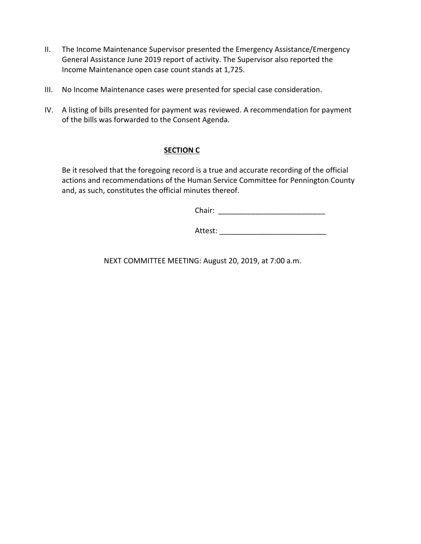- II. The Income Maintenance Supervisor presented the Emergency Assistance/Emergency General Assistance June 2019 report of activity. The Supervisor also reported the Income Maintenance open case count stands at 1,725.
- III. No Income Maintenance cases were presented for special case consideration.
- IV. A listing of bills presented for payment was reviewed. A recommendation for payment of the bills was forwarded to the Consent Agenda.

### **SECTION C**

Be it resolved that the foregoing record is a true and accurate recording of the official actions and recommendations of the Human Service Committee for Pennington County and, as such, constitutes the official minutes thereof.

Chair: \_\_\_\_\_\_\_\_\_\_\_\_\_\_\_\_\_\_\_\_\_\_\_\_\_\_

Attest:

NEXT COMMITTEE MEETING: August 20, 2019, at 7:00 a.m.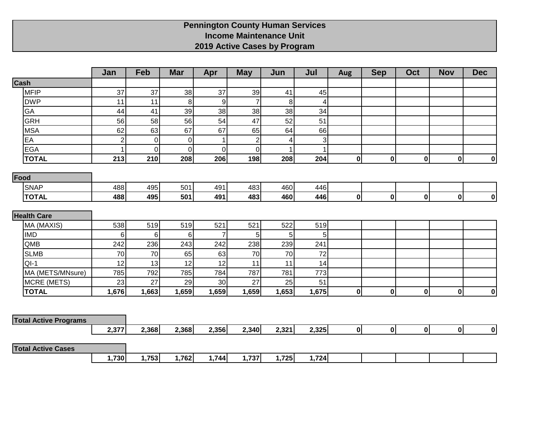## **Pennington County Human Services Income Maintenance Unit 2019 Active Cases by Program**

|                              | Jan            | Feb   | <b>Mar</b>  | Apr              | <b>May</b>     | Jun   | Jul            | <b>Aug</b>   | <b>Sep</b>   | Oct          | <b>Nov</b> | <b>Dec</b> |
|------------------------------|----------------|-------|-------------|------------------|----------------|-------|----------------|--------------|--------------|--------------|------------|------------|
| Cash                         |                |       |             |                  |                |       |                |              |              |              |            |            |
| <b>MFIP</b>                  | 37             | 37    | 38          | 37               | 39             | 41    | 45             |              |              |              |            |            |
| <b>DWP</b>                   | 11             | 11    | 8           | $\boldsymbol{9}$ | $\overline{7}$ | 8     | 4              |              |              |              |            |            |
| GA                           | 44             | 41    | 39          | 38               | 38             | 38    | 34             |              |              |              |            |            |
| <b>GRH</b>                   | 56             | 58    | 56          | 54               | 47             | 52    | 51             |              |              |              |            |            |
| <b>MSA</b>                   | 62             | 63    | 67          | 67               | 65             | 64    | 66             |              |              |              |            |            |
| EA                           | $\overline{2}$ | 0     | $\mathbf 0$ | $\mathbf{1}$     | $\overline{2}$ | 4     | $\overline{3}$ |              |              |              |            |            |
| <b>EGA</b>                   | 1              | 0     | $\mathbf 0$ | $\pmb{0}$        | $\overline{0}$ |       | $\mathbf{1}$   |              |              |              |            |            |
| <b>TOTAL</b>                 | 213            | 210   | 208         | 206              | 198            | 208   | 204            | 0            | $\mathbf 0$  | $\mathbf{0}$ | 0          | 0          |
| Food                         |                |       |             |                  |                |       |                |              |              |              |            |            |
| <b>SNAP</b>                  | 488            | 495   | 501         | 491              | 483            | 460   | 446            |              |              |              |            |            |
| <b>TOTAL</b>                 | 488            | 495   | 501         | 491              | 483            | 460   | 446            | $\mathbf{0}$ | $\mathbf 0$  | $\mathbf{0}$ | 0          | 0          |
|                              |                |       |             |                  |                |       |                |              |              |              |            |            |
| <b>Health Care</b>           |                |       |             |                  |                |       |                |              |              |              |            |            |
| MA (MAXIS)                   | 538            | 519   | 519         | 521              | 521            | 522   | 519            |              |              |              |            |            |
| <b>IMD</b>                   | 6              | 6     | 6           | $\overline{7}$   | 5              | 5     | 5 <sup>1</sup> |              |              |              |            |            |
| QMB                          | 242            | 236   | 243         | 242              | 238            | 239   | 241            |              |              |              |            |            |
| <b>SLMB</b>                  | 70             | 70    | 65          | 63               | 70             | 70    | 72             |              |              |              |            |            |
| $QI-1$                       | 12             | 13    | 12          | 12               | 11             | 11    | 14             |              |              |              |            |            |
| MA (METS/MNsure)             | 785            | 792   | 785         | 784              | 787            | 781   | 773            |              |              |              |            |            |
| <b>MCRE (METS)</b>           | 23             | 27    | 29          | 30               | 27             | 25    | 51             |              |              |              |            |            |
| <b>TOTAL</b>                 | 1,676          | 1,663 | 1,659       | 1,659            | 1,659          | 1,653 | 1,675          | $\mathbf{0}$ | $\mathbf 0$  | 0            | 0          | 0          |
|                              |                |       |             |                  |                |       |                |              |              |              |            |            |
|                              |                |       |             |                  |                |       |                |              |              |              |            |            |
| <b>Total Active Programs</b> |                |       |             |                  |                |       |                |              |              |              |            |            |
|                              | 2,377          | 2,368 | 2,368       | 2,356            | 2,340          | 2,321 | 2,325          | 0            | $\mathbf{0}$ | $\mathbf{0}$ | οl         | 0          |
| <b>Total Active Cases</b>    |                |       |             |                  |                |       |                |              |              |              |            |            |
|                              | 1,730          | 1,753 | 1,762       | 1,744            | 1,737          | 1,725 | 1,724          |              |              |              |            |            |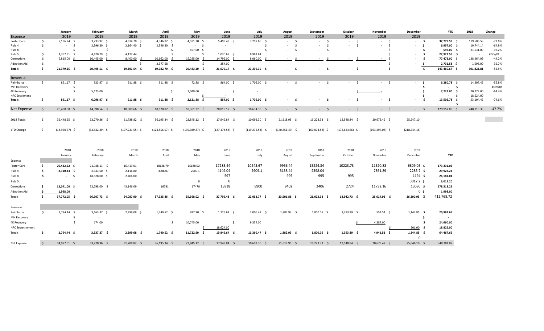|                         |                     | January          | February         | March              | April               | May               | June               | July               | August                          | September         | October                        | November           | December               | <b>YTD</b>          | 2018             | Change   |
|-------------------------|---------------------|------------------|------------------|--------------------|---------------------|-------------------|--------------------|--------------------|---------------------------------|-------------------|--------------------------------|--------------------|------------------------|---------------------|------------------|----------|
| Expense                 |                     | 2019             | 2019             | 2019               | 2019                | 2019              | 2019               | 2019               | 2019                            | 2019              | 2019                           | 2019               | 2019                   |                     |                  |          |
| Foster Care             | \$                  | 7,196.74 \$      | $3,233.92$ \$    | 4,614.70 \$        | 4,346.82 \$         | 4,591.20 \$       | 5,498.49 \$        | 3,297.66 \$        | $-5$                            | $-5$              | $-5$                           | $-5$               | $-5$                   | 32,779.53 \$        | 119,586.58       | $-72.6%$ |
| Rule 4                  | $\mathsf{S}$        | $-5$             | 2,396.30 \$      | $2,164.40$ \$      | 2,396.30 \$         | $-5$              | $\sim$             | - Ś                | $\mathsf{S}$<br>$\sim 10^{-11}$ | $-5$              | $\sim 10^{-1}$<br>$\mathsf{S}$ | $-5$               | - \$<br>$\sim$         | 6,957.00 \$         | 19,744.14        | $-64.8%$ |
| Rule 8                  |                     | \$               | $-5$             | $\sim$             | -Ś                  | 597.00 \$         | $\sim$ 100 $\mu$   | \$                 | $-5$                            | $-5$              | $\sim$                         |                    | - \$<br>$\sim$         | 597.00 \$           | 21,531.00        | $-97.2%$ |
| Rule 5                  | Ŝ.                  | $4,367.51$ \$    | 4,420.29 \$      | 4,122.44           |                     | $-5$              | $1,030.68$ \$      | 8,981.64           |                                 |                   |                                |                    | -\$<br>$\sim$          | 22,922.56 \$        | $\sim$           | #DIV/0!  |
| Corrections             | Ŝ.                  | $9,815.00$ \$    | $10,445.00$ \$   | 8,400.00 \$        | 10,662.00           | 15,295.00         | 14,796.00 \$       | 8,060.00           |                                 |                   |                                | -S<br>$\sim$       | \$<br>$\sim$           | 77,473.00 \$        | 138,964.09       | $-44.2%$ |
| Adoption Aid            |                     | $\sim$ $-$       |                  | $\leq$             | 2,377.58            |                   | 354.00             |                    |                                 |                   |                                | .\$                | - \$<br>$\sim$         | $2,731.58$ \$       | 1,998.00         | 36.7%    |
| Totals                  | \$.                 | 21,379.25 \$     | 20,495.51 \$     | 19,301.54 \$       | 19,782.70 \$        | 20,483.20 \$      | 21,679.17 \$       | 20,339.30 \$       | $-5$                            | $-5$              | $-5$                           | $-5$               | $\mathsf{S}$<br>$\sim$ | 143,460.67 \$       | 301,823.81       | $-52.5%$ |
| Revenue                 |                     |                  |                  |                    |                     |                   |                    |                    |                                 |                   |                                |                    |                        |                     |                  |          |
| Reimburse               | $\frac{1}{2}$       | 891.17 \$        | $923.97$ \$      | $911.88 \quad $$   | 911.88 \$           | 72.88 \$          | 864.00 \$          | 1,705.00 \$        | $-5$                            | $-5$              | $-5$                           | $-5$               | - \$<br>$\sim$         | $6,280.78$ \$       | 14,207.42        | $-55.8%$ |
| MH Recovery             |                     | \$               | $\sim$           |                    |                     |                   |                    |                    |                                 |                   |                                |                    | \$                     | $-5$                | $\sim$ 100 $\pm$ | #DIV/0!  |
| <b>4E Recovery</b>      |                     | \$               | 5,173.00         |                    | \$                  | 2,049.00          | \$                 | $\sim$             |                                 |                   |                                |                    | -\$                    | 7,222.00 \$         | 20,273.00        | $-64.4%$ |
| <b>NFC Settlement</b>   |                     |                  |                  |                    |                     |                   |                    |                    |                                 |                   |                                |                    | \$.                    | $-5$                | 18,624.00        |          |
| Totals                  | -\$                 | 891.17 \$        | $6,096.97$ \$    | 911.88 \$          | $911.88$ \$         | $2,121.88$ \$     | 864.00 \$          | 1,705.00 \$        | $-5$                            | - \$              | - \$<br>$\sim$                 | - \$<br>$\sim$     | -\$<br>$\sim$          | 13,502.78 \$<br>- Ś | 53,104.42        | $-74.6%$ |
| Net Expense             | -\$                 | 20,488.08 \$     | 14,398.54 \$     | 18,389.66 \$       | 18,870.82 \$        | 18,361.32 \$      | 20,815.17 \$       | 18,634.30 \$       | $-5$                            | $-5$              | $-5$                           | $-5$               | $-5$                   | 129,957.89 \$       | 248,719.39       | $-47.7%$ |
|                         |                     |                  |                  |                    |                     |                   |                    |                    |                                 |                   |                                |                    |                        |                     |                  |          |
| 2018 Totals             | $\ddot{\mathsf{s}}$ | 35,448.65 \$     | 63,270.36 \$     | 61,788.82 \$       | 36,195.34 \$        | 23,845.12 \$      | 17,949.84 \$       | 10,692.30 \$       | 21,618.95 \$                    | 19,223.33 \$      | 12,548.84 \$                   | 20,673.42 \$       | 25,247.10              |                     |                  |          |
| <b>YTD Change</b>       | \$                  | $(14,960.57)$ \$ | $(63,832.39)$ \$ | $(107, 231.55)$ \$ | $(124, 556.07)$ \$  | $(130,039.87)$ \$ | $(127, 174.54)$ \$ | $(119, 232.54)$ \$ | $(140,851.49)$ \$               | $(160,074.82)$ \$ | $(172, 623.66)$ \$             | $(193, 297.08)$ \$ | (218, 544.18)          |                     |                  |          |
|                         |                     |                  |                  |                    |                     |                   |                    |                    |                                 |                   |                                |                    |                        |                     |                  |          |
|                         |                     | 2018             | 2018             | 2018               | 2018                | 2018              | 2018               | 2018               | 2018                            | 2018              | 2018                           | 2018               | 2018                   |                     |                  |          |
|                         |                     | January          | February         | March              | April               | May               | June               | July               | August                          | September         | October                        | November           | December               | <b>YTD</b>          |                  |          |
| Expense                 |                     |                  |                  |                    |                     |                   |                    |                    |                                 |                   |                                |                    |                        |                     |                  |          |
| Foster Care             | - Ś                 | 20,422.62 \$     | 21,938.13 \$     | 16,419.01          | 18138.79            | 15188.92          | 17235.44           | 10243.67           | 9966.44                         | 15224.34          | 10223.73                       | 11520.88           | 6809.05 \$             | 173,331.02          |                  |          |
| Rule 4                  | - Ś                 | $2,310.43$ \$    | 2,343.60 \$      | 2,116.80           | 3006.07             | 2909.1            | 4149.04            | 2909.1             | 3138.44                         | 2398.04           |                                | 2361.89            | $2285.7$ \$            | 29,928.21           |                  |          |
| Rule 8                  | Ś.                  | $-5$             | 18,528.00 \$     | 2,406.00           |                     |                   | 597                |                    | 995                             | 995               | 995                            |                    | 1194 \$                | 26,181.04           |                  |          |
|                         |                     |                  |                  |                    |                     |                   |                    |                    |                                 |                   |                                |                    | $3012.2$ \$            |                     |                  |          |
| Rule 5                  |                     |                  |                  |                    |                     | $\overline{0}$    | $\overline{0}$     |                    |                                 |                   |                                |                    |                        | 3,012.20            |                  |          |
| Corrections             | - \$                | 13,041.00 \$     | 23,798.00 \$     | 43,146.09          | 16791               | 17470             | 15818              | 8900               | 9402                            | 2406              | 2724                           | 11732.16           | 13090 \$               | 178,318.25          |                  |          |
| Adoption Aid            | - \$                | 1,998.00         |                  |                    |                     |                   |                    |                    |                                 |                   |                                |                    | 0 <sup>5</sup>         | 1,998.00            |                  |          |
| Totals                  | - \$                | 37,772.05 \$     | 66,607.73 \$     | 64,087.90 \$       | 37,935.86 \$        | 35,568.02 \$      | 37,799.48 \$       | 22,052.77 \$       | 23,501.88 \$                    | 21,023.38 \$      | 13,942.73 \$                   | 25,614.93 \$       | 26,390.95 \$           | 412,768.72          |                  |          |
| Revenue                 |                     |                  |                  |                    |                     |                   |                    |                    |                                 |                   |                                |                    |                        |                     |                  |          |
| Reimburse               | \$                  | 2,794.44 \$      | $3,163.37$ \$    | 2,299.08 \$        | 1,740.52 \$         | 977.90 \$         | $1,225.64$ \$      | 2,006.47 \$        | 1,882.93 \$                     | 1,800.05 \$       | 1,393.89 \$                    | 554.51 \$          | $1,143.85$ \$          | 20,982.65           |                  |          |
| MH Recovery             |                     | -\$              | $\sim$           |                    |                     |                   |                    |                    |                                 |                   |                                |                    | -\$                    | $\sim$ 100 $\pm$    |                  |          |
| <b>4E Recovery</b>      |                     | $\frac{1}{2}$    | 174.00           |                    | $\ddot{\mathsf{S}}$ | 10,745.00         | -\$                | 9,354.00           |                                 |                   |                                | 4,387.00           | \$                     | 24,660.00           |                  |          |
| <b>NFC Sewettlement</b> |                     |                  |                  |                    |                     |                   | 18,624.00          |                    |                                 |                   |                                |                    | $201.00$ \$            | 18,825.00           |                  |          |
| Totals                  | \$                  | 2,794.44 \$      | $3,337.37$ \$    | $2,299.08$ \$      | $1,740.52$ \$       | 11,722.90 \$      | 19,849.64 \$       | $11,360.47$ \$     | $1,882.93$ \$                   | $1,800.05$ \$     | $1,393.89$ \$                  | $4,941.51$ \$      | $1,344.85$ \$          | 64,467.65           |                  |          |
|                         |                     |                  |                  |                    |                     |                   |                    |                    |                                 |                   |                                |                    | $\Omega$               |                     |                  |          |
| Net Expense             | $\prec$             | 34,977.61 \$     | 63,270.36 \$     | 61,788.82 \$       | 36,195.34 \$        | 23,845.12 \$      | 17,949.84 \$       | $10,692.30$ \$     | $21,618.95$ \$                  | 19,223.33 \$      | 12,548.84 \$                   | 20,673.42 \$       | 25,046.10 \$           | 348,301.07          |                  |          |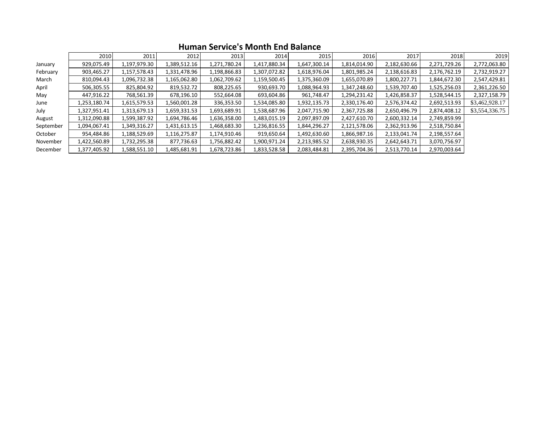|           | 2010         | 2011         | 2012         | 2013         | 2014         | 2015         | 2016         | 2017         | 2018         | 2019           |
|-----------|--------------|--------------|--------------|--------------|--------------|--------------|--------------|--------------|--------------|----------------|
| January   | 929,075.49   | 1,197,979.30 | 1,389,512.16 | 1,271,780.24 | 1,417,880.34 | 1,647,300.14 | 1,814,014.90 | 2,182,630.66 | 2,271,729.26 | 2,772,063.80   |
| February  | 903,465.27   | 1,157,578.43 | 1,331,478.96 | 1,198,866.83 | 1,307,072.82 | 1,618,976.04 | 1,801,985.24 | 2,138,616.83 | 2,176,762.19 | 2,732,919.27   |
| March     | 810,094.43   | 1,096,732.38 | 1,165,062.80 | 1,062,709.62 | 1,159,500.45 | 1,375,360.09 | 1,655,070.89 | 1,800,227.71 | 1,844,672.30 | 2,547,429.81   |
| April     | 506,305.55   | 825,804.92   | 819,532.72   | 808,225.65   | 930,693.70   | 1,088,964.93 | 1,347,248.60 | 1,539,707.40 | 1,525,256.03 | 2,361,226.50   |
| May       | 447,916.22   | 768,561.39   | 678,196.10   | 552,664.08   | 693,604.86   | 961,748.47   | 1,294,231.42 | 1,426,858.37 | 1,528,544.15 | 2,327,158.79   |
| June      | 1,253,180.74 | 1,615,579.53 | 1,560,001.28 | 336,353.50   | 1,534,085.80 | 1,932,135.73 | 2,330,176.40 | 2,576,374.42 | 2,692,513.93 | \$3,462,928.17 |
| July      | 1,327,951.41 | 1,313,679.13 | 1,659,331.53 | 1,693,689.91 | 1,538,687.96 | 2,047,715.90 | 2,367,725.88 | 2,650,496.79 | 2,874,408.12 | \$3,554,336.75 |
| August    | 1,312,090.88 | 1,599,387.92 | 1,694,786.46 | 1,636,358.00 | 1,483,015.19 | 2,097,897.09 | 2,427,610.70 | 2,600,332.14 | 2,749,859.99 |                |
| September | 1,094,067.41 | 1,349,316.27 | 1,431,613.15 | 1,468,683.30 | 1,236,816.55 | 1,844,296.27 | 2,121,578.06 | 2,362,913.96 | 2,518,750.84 |                |
| October   | 954,484.86   | 1,188,529.69 | 1,116,275.87 | 1,174,910.46 | 919,650.64   | 1,492,630.60 | 1,866,987.16 | 2,133,041.74 | 2,198,557.64 |                |
| November  | 1,422,560.89 | 1,732,295.38 | 877,736.63   | 1,756,882.42 | 1,900,971.24 | 2,213,985.52 | 2,638,930.35 | 2,642,643.71 | 3,070,756.97 |                |
| December  | 1,377,405.92 | 1,588,551.10 | 1,485,681.91 | 1,678,723.86 | 1,833,528.58 | 2,083,484.81 | 2,395,704.36 | 2,513,770.14 | 2,970,003.64 |                |

### **Human Service's Month End Balance**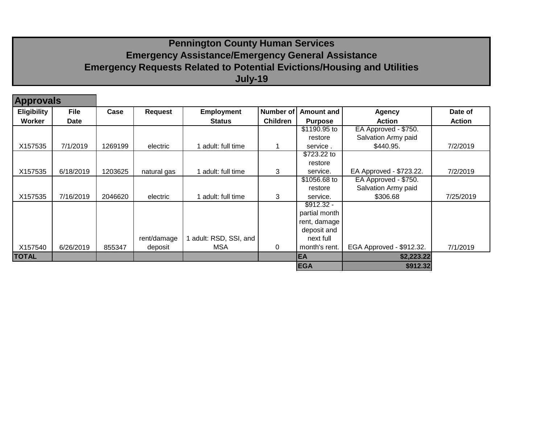## **Pennington County Human Services Emergency Assistance/Emergency General Assistance Emergency Requests Related to Potential Evictions/Housing and Utilities July-19**

| <b>Approvals</b>   |             |         |             |                      |                 |                   |                          |               |
|--------------------|-------------|---------|-------------|----------------------|-----------------|-------------------|--------------------------|---------------|
| <b>Eligibility</b> | <b>File</b> | Case    | Request     | <b>Employment</b>    | Number of       | <b>Amount and</b> | <b>Agency</b>            | Date of       |
| Worker             | Date        |         |             | <b>Status</b>        | <b>Children</b> | <b>Purpose</b>    | <b>Action</b>            | <b>Action</b> |
|                    |             |         |             |                      |                 | \$1190.95 to      | EA Approved - \$750.     |               |
|                    |             |         |             |                      |                 | restore           | Salvation Army paid      |               |
| X157535            | 7/1/2019    | 1269199 | electric    | 1 adult: full time   |                 | service.          | \$440.95.                | 7/2/2019      |
|                    |             |         |             |                      |                 | \$723.22 to       |                          |               |
|                    |             |         |             |                      |                 | restore           |                          |               |
| X157535            | 6/18/2019   | 1203625 | natural gas | 1 adult: full time   | 3               | service.          | EA Approved - \$723.22.  | 7/2/2019      |
|                    |             |         |             |                      |                 | \$1056.68 to      | EA Approved - \$750.     |               |
|                    |             |         |             |                      |                 | restore           | Salvation Army paid      |               |
| X157535            | 7/16/2019   | 2046620 | electric    | 1 adult: full time   | 3               | service.          | \$306.68                 | 7/25/2019     |
|                    |             |         |             |                      |                 | $$912.32 -$       |                          |               |
|                    |             |         |             |                      |                 | partial month     |                          |               |
|                    |             |         |             |                      |                 | rent, damage      |                          |               |
|                    |             |         |             |                      |                 | deposit and       |                          |               |
|                    |             |         | rent/damage | adult: RSD, SSI, and |                 | next full         |                          |               |
| X157540            | 6/26/2019   | 855347  | deposit     | <b>MSA</b>           | 0               | month's rent.     | EGA Approved - \$912.32. | 7/1/2019      |
| <b>TOTAL</b>       |             |         |             |                      |                 | EA                | \$2,223.22               |               |
|                    |             |         |             |                      |                 | <b>EGA</b>        | \$912.32                 |               |